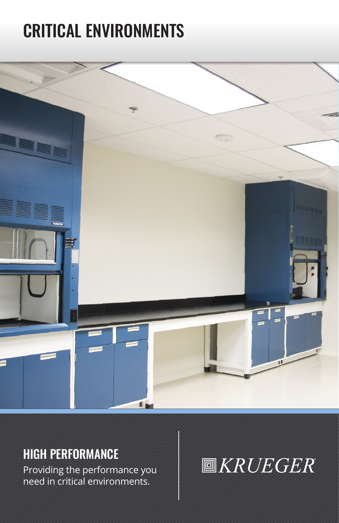# CRITICAL ENVIRONMENTS



### HIGH PERFORMANCE

Providing the performance you need in critical environments.

## **圖KRUEGER**